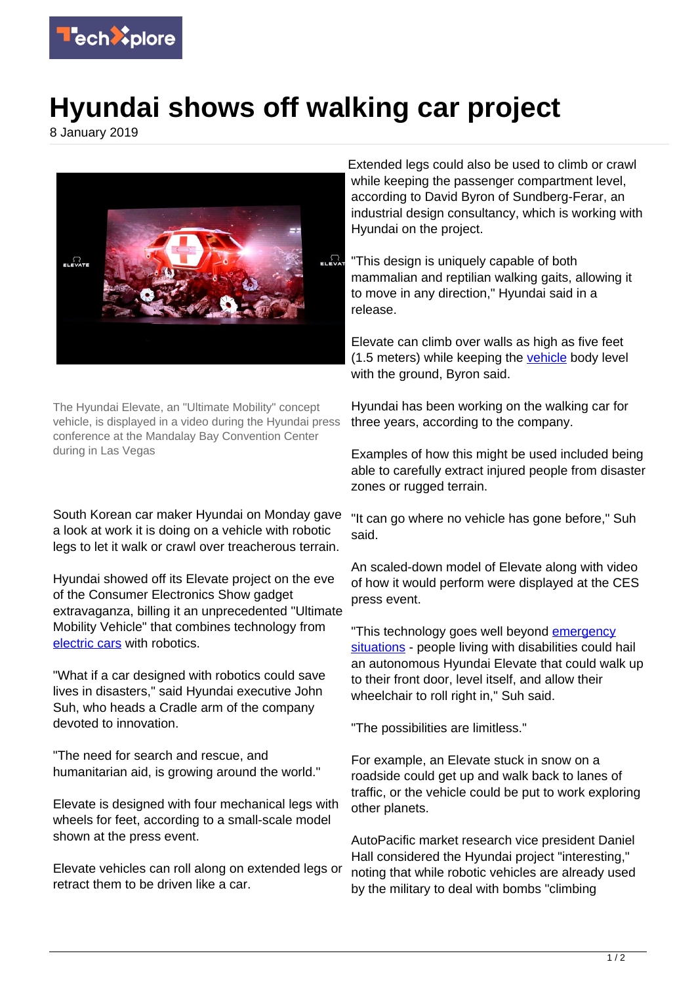

## **Hyundai shows off walking car project**

8 January 2019



The Hyundai Elevate, an "Ultimate Mobility" concept vehicle, is displayed in a video during the Hyundai press conference at the Mandalay Bay Convention Center during in Las Vegas

South Korean car maker Hyundai on Monday gave a look at work it is doing on a vehicle with robotic legs to let it walk or crawl over treacherous terrain.

Hyundai showed off its Elevate project on the eve of the Consumer Electronics Show gadget extravaganza, billing it an unprecedented "Ultimate Mobility Vehicle" that combines technology from [electric cars](https://techxplore.com/tags/electric+cars/) with robotics.

"What if a car designed with robotics could save lives in disasters," said Hyundai executive John Suh, who heads a Cradle arm of the company devoted to innovation.

"The need for search and rescue, and humanitarian aid, is growing around the world."

Elevate is designed with four mechanical legs with wheels for feet, according to a small-scale model shown at the press event.

Elevate vehicles can roll along on extended legs or retract them to be driven like a car.

Extended legs could also be used to climb or crawl while keeping the passenger compartment level. according to David Byron of Sundberg-Ferar, an industrial design consultancy, which is working with Hyundai on the project.

"This design is uniquely capable of both mammalian and reptilian walking gaits, allowing it to move in any direction," Hyundai said in a release.

Elevate can climb over walls as high as five feet (1.5 meters) while keeping the [vehicle](https://techxplore.com/tags/vehicle/) body level with the ground, Byron said.

Hyundai has been working on the walking car for three years, according to the company.

Examples of how this might be used included being able to carefully extract injured people from disaster zones or rugged terrain.

"It can go where no vehicle has gone before," Suh said.

An scaled-down model of Elevate along with video of how it would perform were displayed at the CES press event.

"This technology goes well beyond [emergency](https://techxplore.com/tags/emergency+situations/) [situations](https://techxplore.com/tags/emergency+situations/) - people living with disabilities could hail an autonomous Hyundai Elevate that could walk up to their front door, level itself, and allow their wheelchair to roll right in," Suh said.

"The possibilities are limitless."

For example, an Elevate stuck in snow on a roadside could get up and walk back to lanes of traffic, or the vehicle could be put to work exploring other planets.

AutoPacific market research vice president Daniel Hall considered the Hyundai project "interesting," noting that while robotic vehicles are already used by the military to deal with bombs "climbing